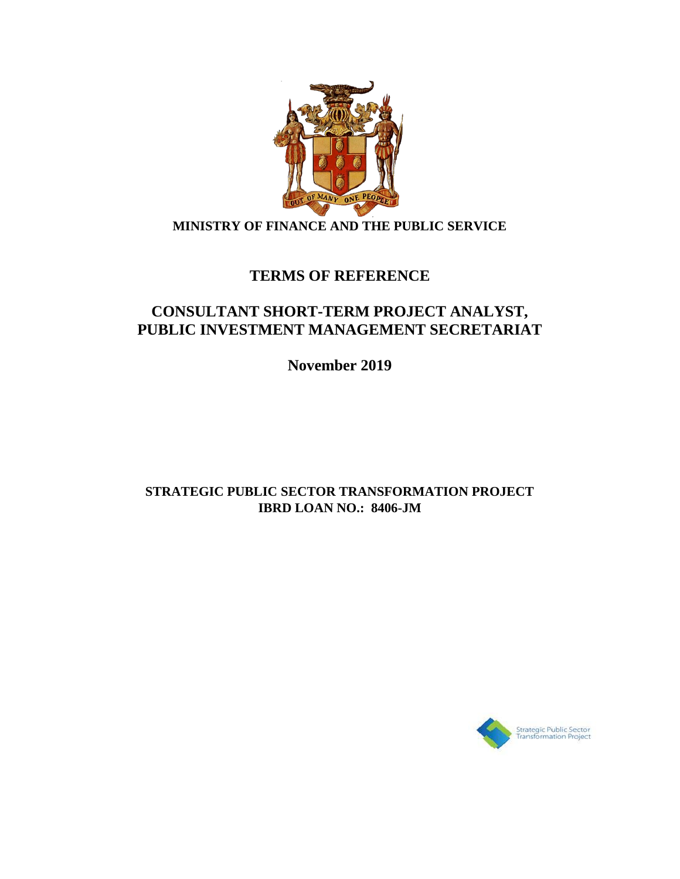

## **MINISTRY OF FINANCE AND THE PUBLIC SERVICE**

# **TERMS OF REFERENCE**

## **CONSULTANT SHORT-TERM PROJECT ANALYST, PUBLIC INVESTMENT MANAGEMENT SECRETARIAT**

**November 2019**

## **STRATEGIC PUBLIC SECTOR TRANSFORMATION PROJECT IBRD LOAN NO.: 8406-JM**

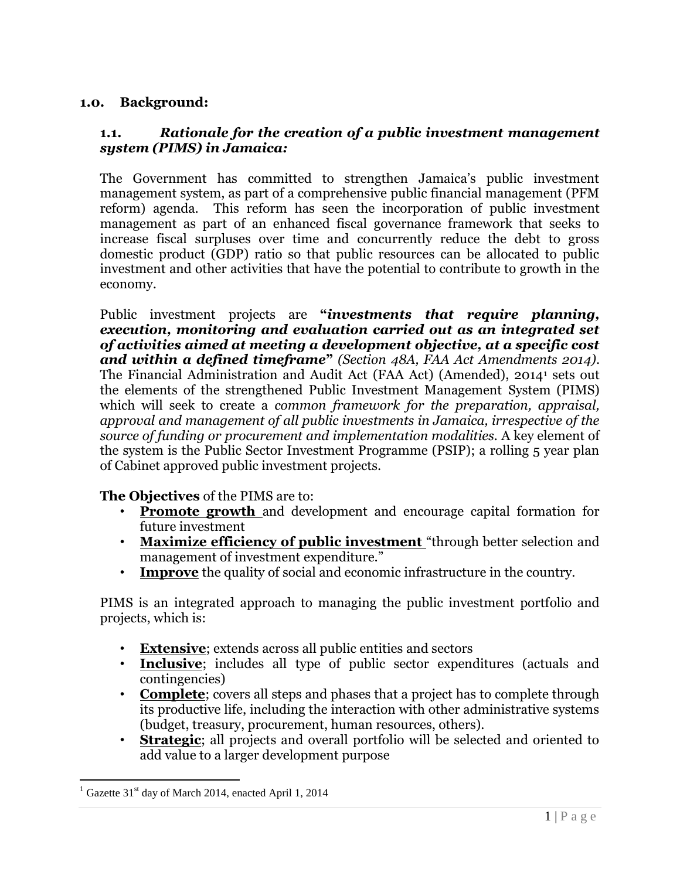#### **1.0. Background:**

#### **1.1.** *Rationale for the creation of a public investment management system (PIMS) in Jamaica:*

The Government has committed to strengthen Jamaica's public investment management system, as part of a comprehensive public financial management (PFM reform) agenda. This reform has seen the incorporation of public investment management as part of an enhanced fiscal governance framework that seeks to increase fiscal surpluses over time and concurrently reduce the debt to gross domestic product (GDP) ratio so that public resources can be allocated to public investment and other activities that have the potential to contribute to growth in the economy.

Public investment projects are **"***investments that require planning, execution, monitoring and evaluation carried out as an integrated set of activities aimed at meeting a development objective, at a specific cost and within a defined timeframe***"** *(Section 48A, FAA Act Amendments 2014)*. The Financial Administration and Audit Act (FAA Act) (Amended), 2014<sup>1</sup> sets out the elements of the strengthened Public Investment Management System (PIMS) which will seek to create a *common framework for the preparation, appraisal, approval and management of all public investments in Jamaica, irrespective of the source of funding or procurement and implementation modalities.* A key element of the system is the Public Sector Investment Programme (PSIP); a rolling 5 year plan of Cabinet approved public investment projects.

**The Objectives** of the PIMS are to:

- **Promote growth** and development and encourage capital formation for future investment
- **Maximize efficiency of public investment** "through better selection and management of investment expenditure."
- **Improve** the quality of social and economic infrastructure in the country.

PIMS is an integrated approach to managing the public investment portfolio and projects, which is:

- **Extensive**; extends across all public entities and sectors
- **Inclusive**; includes all type of public sector expenditures (actuals and contingencies)
- **Complete**; covers all steps and phases that a project has to complete through its productive life, including the interaction with other administrative systems (budget, treasury, procurement, human resources, others).
- **Strategic**; all projects and overall portfolio will be selected and oriented to add value to a larger development purpose

 $\overline{a}$ 

 $1$  Gazette 31<sup>st</sup> day of March 2014, enacted April 1, 2014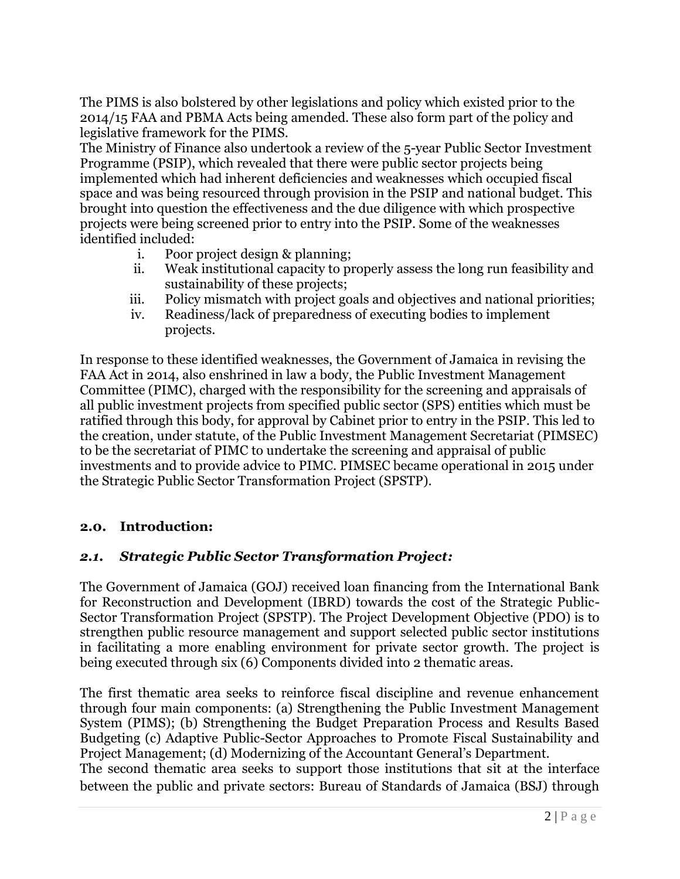The PIMS is also bolstered by other legislations and policy which existed prior to the 2014/15 FAA and PBMA Acts being amended. These also form part of the policy and legislative framework for the PIMS.

The Ministry of Finance also undertook a review of the 5-year Public Sector Investment Programme (PSIP), which revealed that there were public sector projects being implemented which had inherent deficiencies and weaknesses which occupied fiscal space and was being resourced through provision in the PSIP and national budget. This brought into question the effectiveness and the due diligence with which prospective projects were being screened prior to entry into the PSIP. Some of the weaknesses identified included:

- i. Poor project design & planning;
- ii. Weak institutional capacity to properly assess the long run feasibility and sustainability of these projects;
- iii. Policy mismatch with project goals and objectives and national priorities;
- iv. Readiness/lack of preparedness of executing bodies to implement projects.

In response to these identified weaknesses, the Government of Jamaica in revising the FAA Act in 2014, also enshrined in law a body, the Public Investment Management Committee (PIMC), charged with the responsibility for the screening and appraisals of all public investment projects from specified public sector (SPS) entities which must be ratified through this body, for approval by Cabinet prior to entry in the PSIP. This led to the creation, under statute, of the Public Investment Management Secretariat (PIMSEC) to be the secretariat of PIMC to undertake the screening and appraisal of public investments and to provide advice to PIMC. PIMSEC became operational in 2015 under the Strategic Public Sector Transformation Project (SPSTP).

## **2.0. Introduction:**

#### *2.1. Strategic Public Sector Transformation Project:*

The Government of Jamaica (GOJ) received loan financing from the International Bank for Reconstruction and Development (IBRD) towards the cost of the Strategic Public-Sector Transformation Project (SPSTP). The Project Development Objective (PDO) is to strengthen public resource management and support selected public sector institutions in facilitating a more enabling environment for private sector growth. The project is being executed through six (6) Components divided into 2 thematic areas.

The first thematic area seeks to reinforce fiscal discipline and revenue enhancement through four main components: (a) Strengthening the Public Investment Management System (PIMS); (b) Strengthening the Budget Preparation Process and Results Based Budgeting (c) Adaptive Public-Sector Approaches to Promote Fiscal Sustainability and Project Management; (d) Modernizing of the Accountant General's Department.

The second thematic area seeks to support those institutions that sit at the interface between the public and private sectors: Bureau of Standards of Jamaica (BSJ) through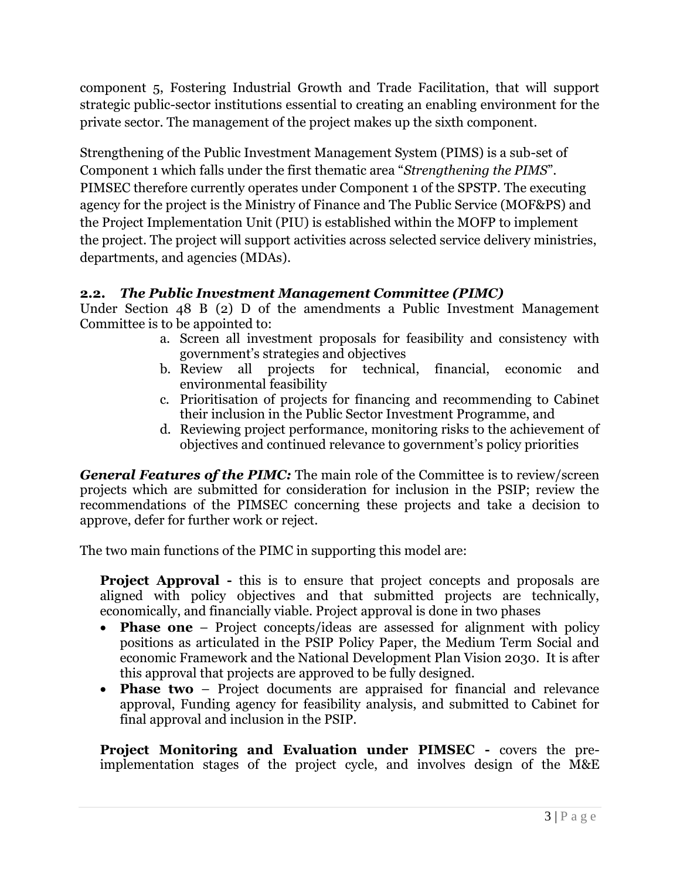component 5, Fostering Industrial Growth and Trade Facilitation, that will support strategic public-sector institutions essential to creating an enabling environment for the private sector. The management of the project makes up the sixth component.

Strengthening of the Public Investment Management System (PIMS) is a sub-set of Component 1 which falls under the first thematic area "*Strengthening the PIMS*". PIMSEC therefore currently operates under Component 1 of the SPSTP. The executing agency for the project is the Ministry of Finance and The Public Service (MOF&PS) and the Project Implementation Unit (PIU) is established within the MOFP to implement the project. The project will support activities across selected service delivery ministries, departments, and agencies (MDAs).

## **2.2.** *The Public Investment Management Committee (PIMC)*

Under Section 48 B (2) D of the amendments a Public Investment Management Committee is to be appointed to:

- a. Screen all investment proposals for feasibility and consistency with government's strategies and objectives
- b. Review all projects for technical, financial, economic and environmental feasibility
- c. Prioritisation of projects for financing and recommending to Cabinet their inclusion in the Public Sector Investment Programme, and
- d. Reviewing project performance, monitoring risks to the achievement of objectives and continued relevance to government's policy priorities

*General Features of the PIMC:* The main role of the Committee is to review/screen projects which are submitted for consideration for inclusion in the PSIP; review the recommendations of the PIMSEC concerning these projects and take a decision to approve, defer for further work or reject.

The two main functions of the PIMC in supporting this model are:

**Project Approval -** this is to ensure that project concepts and proposals are aligned with policy objectives and that submitted projects are technically, economically, and financially viable. Project approval is done in two phases

- **Phase one** Project concepts/ideas are assessed for alignment with policy positions as articulated in the PSIP Policy Paper, the Medium Term Social and economic Framework and the National Development Plan Vision 2030. It is after this approval that projects are approved to be fully designed.
- **Phase two** Project documents are appraised for financial and relevance approval, Funding agency for feasibility analysis, and submitted to Cabinet for final approval and inclusion in the PSIP.

**Project Monitoring and Evaluation under PIMSEC -** covers the preimplementation stages of the project cycle, and involves design of the M&E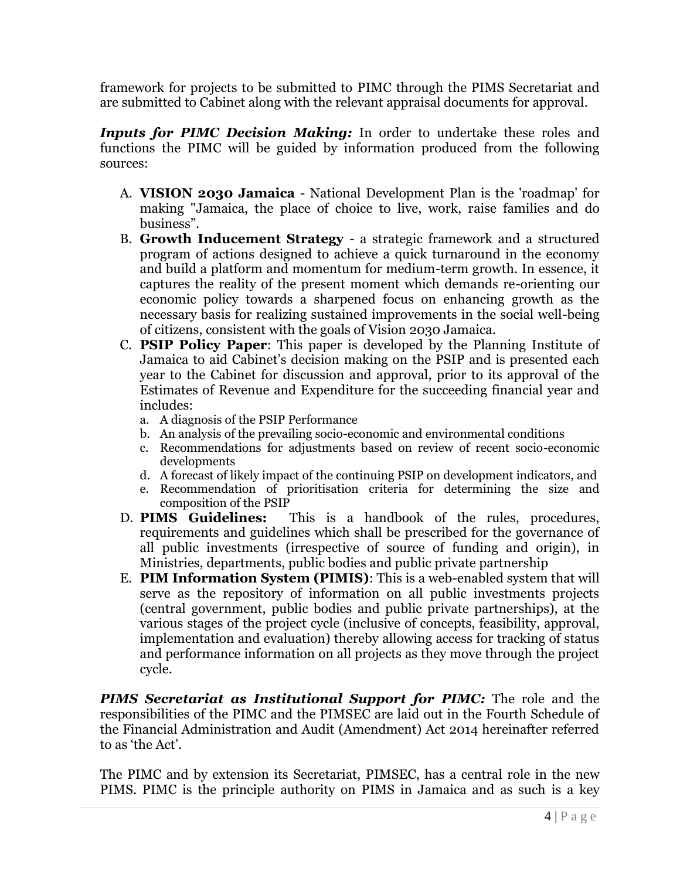framework for projects to be submitted to PIMC through the PIMS Secretariat and are submitted to Cabinet along with the relevant appraisal documents for approval.

*Inputs for PIMC Decision Making:* In order to undertake these roles and functions the PIMC will be guided by information produced from the following sources:

- A. **VISION 2030 Jamaica** National Development Plan is the 'roadmap' for making "Jamaica, the place of choice to live, work, raise families and do business".
- B. **Growth Inducement Strategy**  a strategic framework and a structured program of actions designed to achieve a quick turnaround in the economy and build a platform and momentum for medium-term growth. In essence, it captures the reality of the present moment which demands re-orienting our economic policy towards a sharpened focus on enhancing growth as the necessary basis for realizing sustained improvements in the social well-being of citizens, consistent with the goals of Vision 2030 Jamaica.
- C. **PSIP Policy Paper**: This paper is developed by the Planning Institute of Jamaica to aid Cabinet's decision making on the PSIP and is presented each year to the Cabinet for discussion and approval, prior to its approval of the Estimates of Revenue and Expenditure for the succeeding financial year and includes:
	- a. A diagnosis of the PSIP Performance
	- b. An analysis of the prevailing socio-economic and environmental conditions
	- c. Recommendations for adjustments based on review of recent socio-economic developments
	- d. A forecast of likely impact of the continuing PSIP on development indicators, and
	- e. Recommendation of prioritisation criteria for determining the size and composition of the PSIP
- D. **PIMS Guidelines:** This is a handbook of the rules, procedures, requirements and guidelines which shall be prescribed for the governance of all public investments (irrespective of source of funding and origin), in Ministries, departments, public bodies and public private partnership
- E. **PIM Information System (PIMIS)**: This is a web-enabled system that will serve as the repository of information on all public investments projects (central government, public bodies and public private partnerships), at the various stages of the project cycle (inclusive of concepts, feasibility, approval, implementation and evaluation) thereby allowing access for tracking of status and performance information on all projects as they move through the project cycle.

*PIMS Secretariat as Institutional Support for PIMC:* The role and the responsibilities of the PIMC and the PIMSEC are laid out in the Fourth Schedule of the Financial Administration and Audit (Amendment) Act 2014 hereinafter referred to as 'the Act'.

The PIMC and by extension its Secretariat, PIMSEC, has a central role in the new PIMS. PIMC is the principle authority on PIMS in Jamaica and as such is a key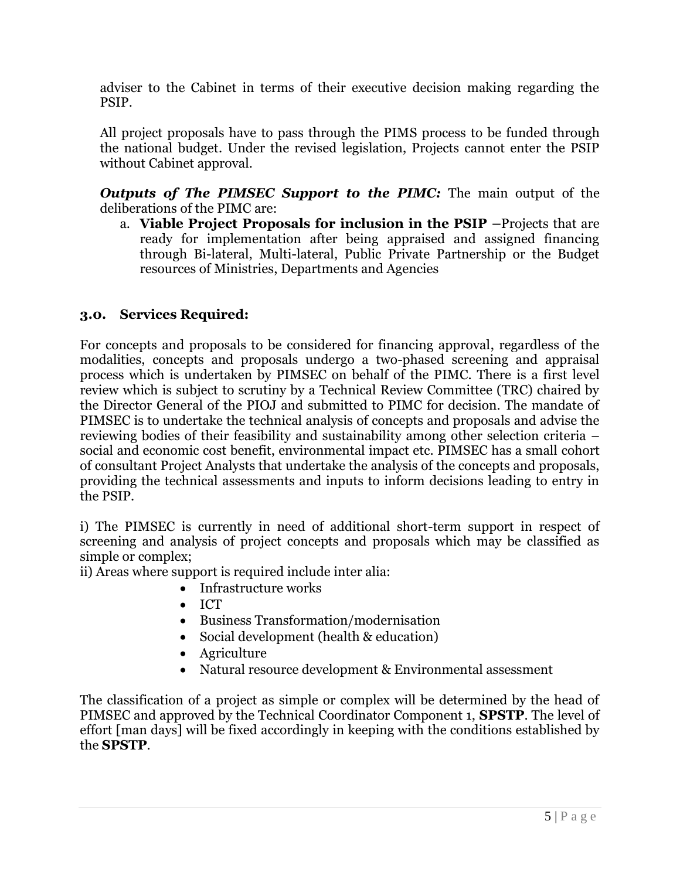adviser to the Cabinet in terms of their executive decision making regarding the PSIP.

All project proposals have to pass through the PIMS process to be funded through the national budget. Under the revised legislation, Projects cannot enter the PSIP without Cabinet approval.

*Outputs of The PIMSEC Support to the PIMC:* The main output of the deliberations of the PIMC are:

a. **Viable Project Proposals for inclusion in the PSIP –**Projects that are ready for implementation after being appraised and assigned financing through Bi-lateral, Multi-lateral, Public Private Partnership or the Budget resources of Ministries, Departments and Agencies

## **3.0. Services Required:**

For concepts and proposals to be considered for financing approval, regardless of the modalities, concepts and proposals undergo a two-phased screening and appraisal process which is undertaken by PIMSEC on behalf of the PIMC. There is a first level review which is subject to scrutiny by a Technical Review Committee (TRC) chaired by the Director General of the PIOJ and submitted to PIMC for decision. The mandate of PIMSEC is to undertake the technical analysis of concepts and proposals and advise the reviewing bodies of their feasibility and sustainability among other selection criteria – social and economic cost benefit, environmental impact etc. PIMSEC has a small cohort of consultant Project Analysts that undertake the analysis of the concepts and proposals, providing the technical assessments and inputs to inform decisions leading to entry in the PSIP.

i) The PIMSEC is currently in need of additional short-term support in respect of screening and analysis of project concepts and proposals which may be classified as simple or complex;

ii) Areas where support is required include inter alia:

- Infrastructure works
- $\bullet$  ICT
- Business Transformation/modernisation
- Social development (health & education)
- Agriculture
- Natural resource development & Environmental assessment

The classification of a project as simple or complex will be determined by the head of PIMSEC and approved by the Technical Coordinator Component 1, **SPSTP**. The level of effort [man days] will be fixed accordingly in keeping with the conditions established by the **SPSTP**.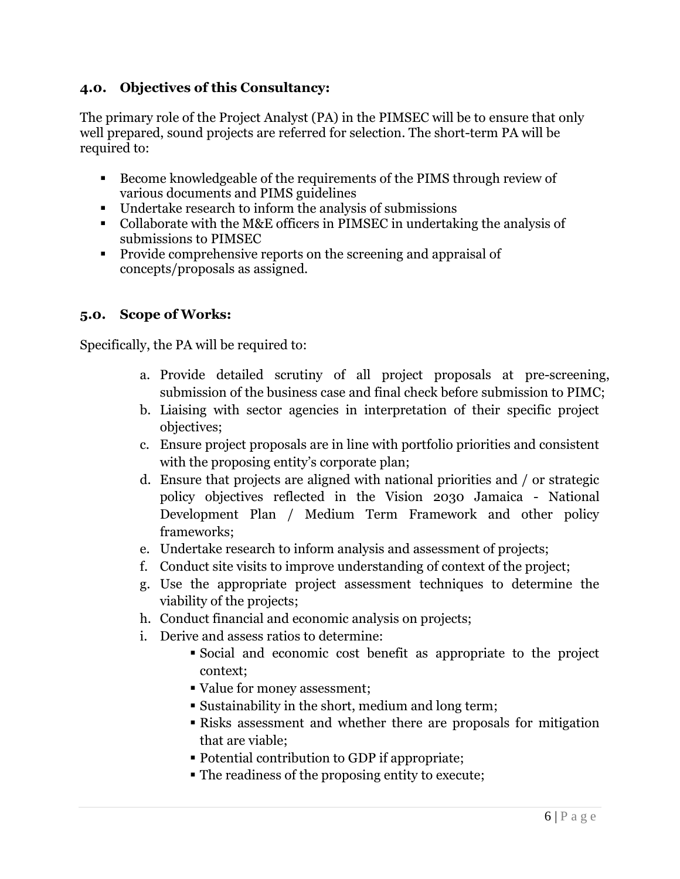## **4.0. Objectives of this Consultancy:**

The primary role of the Project Analyst (PA) in the PIMSEC will be to ensure that only well prepared, sound projects are referred for selection. The short-term PA will be required to:

- Become knowledgeable of the requirements of the PIMS through review of various documents and PIMS guidelines
- Undertake research to inform the analysis of submissions
- Collaborate with the M&E officers in PIMSEC in undertaking the analysis of submissions to PIMSEC
- **Provide comprehensive reports on the screening and appraisal of** concepts/proposals as assigned.

## **5.0. Scope of Works:**

Specifically, the PA will be required to:

- a. Provide detailed scrutiny of all project proposals at pre-screening, submission of the business case and final check before submission to PIMC;
- b. Liaising with sector agencies in interpretation of their specific project objectives;
- c. Ensure project proposals are in line with portfolio priorities and consistent with the proposing entity's corporate plan;
- d. Ensure that projects are aligned with national priorities and / or strategic policy objectives reflected in the Vision 2030 Jamaica - National Development Plan / Medium Term Framework and other policy frameworks;
- e. Undertake research to inform analysis and assessment of projects;
- f. Conduct site visits to improve understanding of context of the project;
- g. Use the appropriate project assessment techniques to determine the viability of the projects;
- h. Conduct financial and economic analysis on projects;
- i. Derive and assess ratios to determine:
	- Social and economic cost benefit as appropriate to the project context;
	- Value for money assessment;
	- Sustainability in the short, medium and long term;
	- Risks assessment and whether there are proposals for mitigation that are viable;
	- Potential contribution to GDP if appropriate;
	- The readiness of the proposing entity to execute;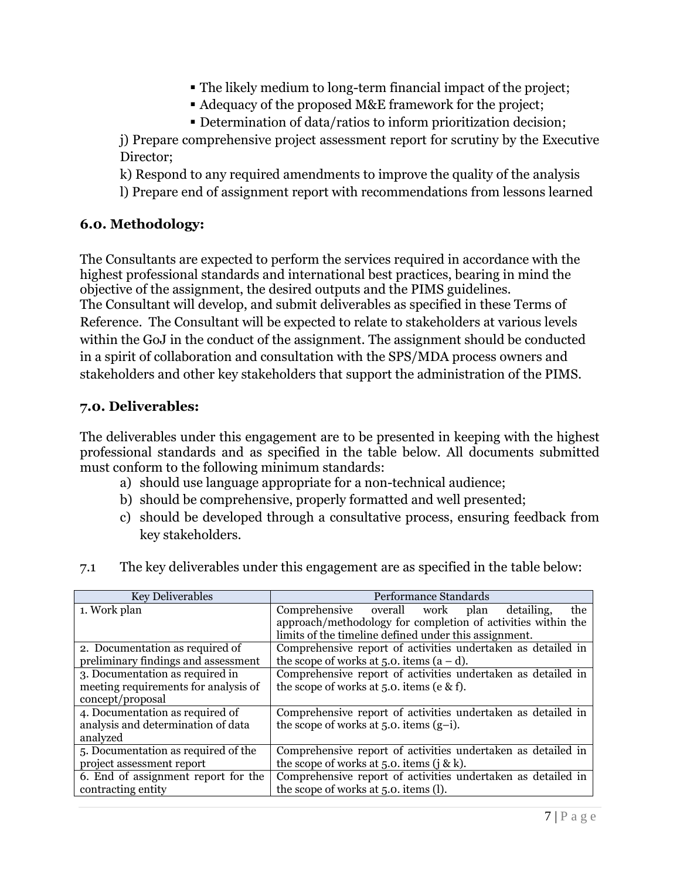- The likely medium to long-term financial impact of the project;
- Adequacy of the proposed M&E framework for the project;
- Determination of data/ratios to inform prioritization decision;

j) Prepare comprehensive project assessment report for scrutiny by the Executive Director;

k) Respond to any required amendments to improve the quality of the analysis

l) Prepare end of assignment report with recommendations from lessons learned

#### **6.0. Methodology:**

The Consultants are expected to perform the services required in accordance with the highest professional standards and international best practices, bearing in mind the objective of the assignment, the desired outputs and the PIMS guidelines. The Consultant will develop, and submit deliverables as specified in these Terms of Reference. The Consultant will be expected to relate to stakeholders at various levels within the GoJ in the conduct of the assignment. The assignment should be conducted in a spirit of collaboration and consultation with the SPS/MDA process owners and stakeholders and other key stakeholders that support the administration of the PIMS.

#### **7.0. Deliverables:**

The deliverables under this engagement are to be presented in keeping with the highest professional standards and as specified in the table below. All documents submitted must conform to the following minimum standards:

- a) should use language appropriate for a non-technical audience;
- b) should be comprehensive, properly formatted and well presented;
- c) should be developed through a consultative process, ensuring feedback from key stakeholders.

| <b>Key Deliverables</b>              | Performance Standards                                        |
|--------------------------------------|--------------------------------------------------------------|
| 1. Work plan                         | Comprehensive overall work<br>plan<br>the<br>detailing,      |
|                                      | approach/methodology for completion of activities within the |
|                                      | limits of the timeline defined under this assignment.        |
| 2. Documentation as required of      | Comprehensive report of activities undertaken as detailed in |
| preliminary findings and assessment  | the scope of works at 5.0. items $(a-d)$ .                   |
| 3. Documentation as required in      | Comprehensive report of activities undertaken as detailed in |
| meeting requirements for analysis of | the scope of works at 5.0. items (e & f).                    |
| concept/proposal                     |                                                              |
| 4. Documentation as required of      | Comprehensive report of activities undertaken as detailed in |
| analysis and determination of data   | the scope of works at $5.0$ . items $(g-i)$ .                |
| analyzed                             |                                                              |
| 5. Documentation as required of the  | Comprehensive report of activities undertaken as detailed in |
| project assessment report            | the scope of works at 5.0. items (j & k).                    |
| 6. End of assignment report for the  | Comprehensive report of activities undertaken as detailed in |
| contracting entity                   | the scope of works at 5.0. items (l).                        |

7.1 The key deliverables under this engagement are as specified in the table below: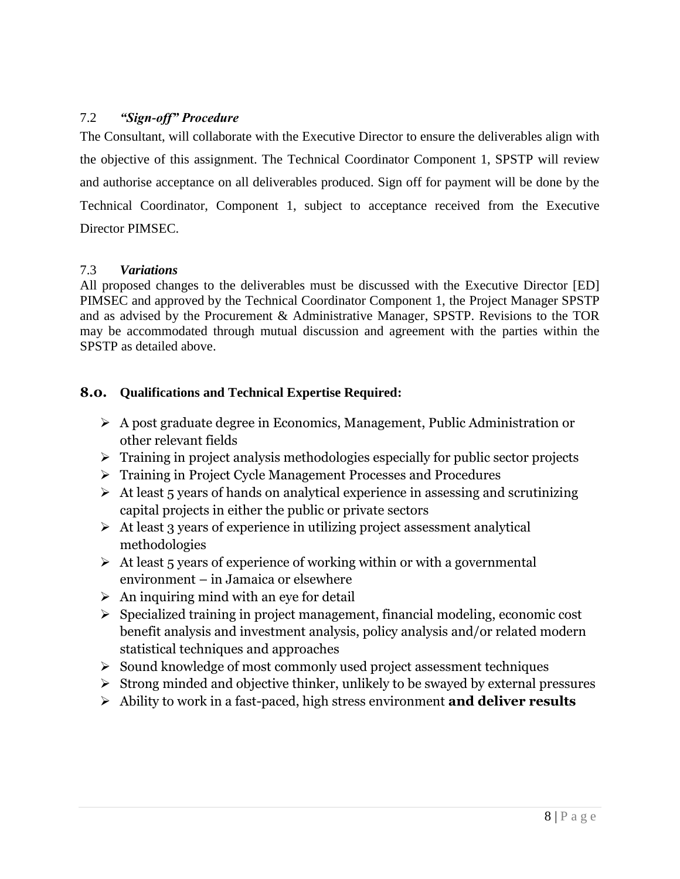#### 7.2 *"Sign-off" Procedure*

The Consultant, will collaborate with the Executive Director to ensure the deliverables align with the objective of this assignment. The Technical Coordinator Component 1, SPSTP will review and authorise acceptance on all deliverables produced. Sign off for payment will be done by the Technical Coordinator, Component 1, subject to acceptance received from the Executive Director PIMSEC.

#### 7.3 *Variations*

All proposed changes to the deliverables must be discussed with the Executive Director [ED] PIMSEC and approved by the Technical Coordinator Component 1, the Project Manager SPSTP and as advised by the Procurement & Administrative Manager, SPSTP. Revisions to the TOR may be accommodated through mutual discussion and agreement with the parties within the SPSTP as detailed above.

#### **8.0. Qualifications and Technical Expertise Required:**

- A post graduate degree in Economics, Management, Public Administration or other relevant fields
- $\triangleright$  Training in project analysis methodologies especially for public sector projects
- Training in Project Cycle Management Processes and Procedures
- $\triangleright$  At least 5 years of hands on analytical experience in assessing and scrutinizing capital projects in either the public or private sectors
- $\triangleright$  At least 3 years of experience in utilizing project assessment analytical methodologies
- $\triangleright$  At least 5 years of experience of working within or with a governmental environment – in Jamaica or elsewhere
- $\triangleright$  An inquiring mind with an eye for detail
- $\triangleright$  Specialized training in project management, financial modeling, economic cost benefit analysis and investment analysis, policy analysis and/or related modern statistical techniques and approaches
- $\triangleright$  Sound knowledge of most commonly used project assessment techniques
- $\triangleright$  Strong minded and objective thinker, unlikely to be swayed by external pressures
- Ability to work in a fast-paced, high stress environment **and deliver results**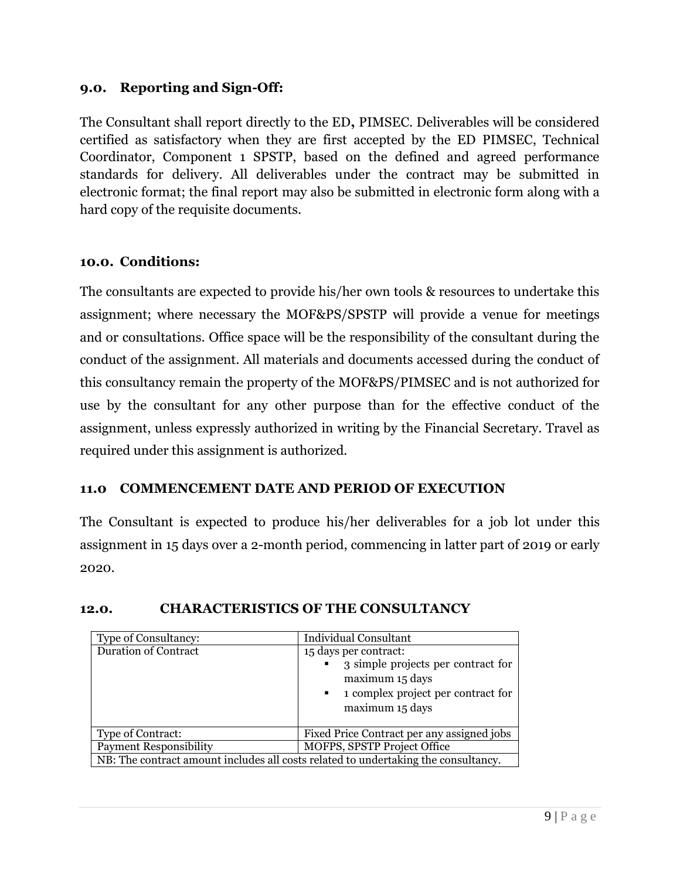#### **9.0. Reporting and Sign-Off:**

The Consultant shall report directly to the ED**,** PIMSEC. Deliverables will be considered certified as satisfactory when they are first accepted by the ED PIMSEC, Technical Coordinator, Component 1 SPSTP, based on the defined and agreed performance standards for delivery. All deliverables under the contract may be submitted in electronic format; the final report may also be submitted in electronic form along with a hard copy of the requisite documents.

#### **10.0. Conditions:**

The consultants are expected to provide his/her own tools & resources to undertake this assignment; where necessary the MOF&PS/SPSTP will provide a venue for meetings and or consultations. Office space will be the responsibility of the consultant during the conduct of the assignment. All materials and documents accessed during the conduct of this consultancy remain the property of the MOF&PS/PIMSEC and is not authorized for use by the consultant for any other purpose than for the effective conduct of the assignment, unless expressly authorized in writing by the Financial Secretary. Travel as required under this assignment is authorized.

#### **11.0 COMMENCEMENT DATE AND PERIOD OF EXECUTION**

The Consultant is expected to produce his/her deliverables for a job lot under this assignment in 15 days over a 2-month period, commencing in latter part of 2019 or early 2020.

| <b>Type of Consultancy:</b>                                                        | <b>Individual Consultant</b>                                                                                                                                                       |
|------------------------------------------------------------------------------------|------------------------------------------------------------------------------------------------------------------------------------------------------------------------------------|
| <b>Duration of Contract</b>                                                        | 15 days per contract:<br>3 simple projects per contract for<br>$\mathbf{r}$<br>maximum 15 days<br>1 complex project per contract for<br>$\mathbf{H}^{\prime}$ .<br>maximum 15 days |
| Type of Contract:                                                                  | Fixed Price Contract per any assigned jobs                                                                                                                                         |
| <b>Payment Responsibility</b>                                                      | <b>MOFPS, SPSTP Project Office</b>                                                                                                                                                 |
| NB: The contract amount includes all costs related to undertaking the consultancy. |                                                                                                                                                                                    |

#### **12.0. CHARACTERISTICS OF THE CONSULTANCY**